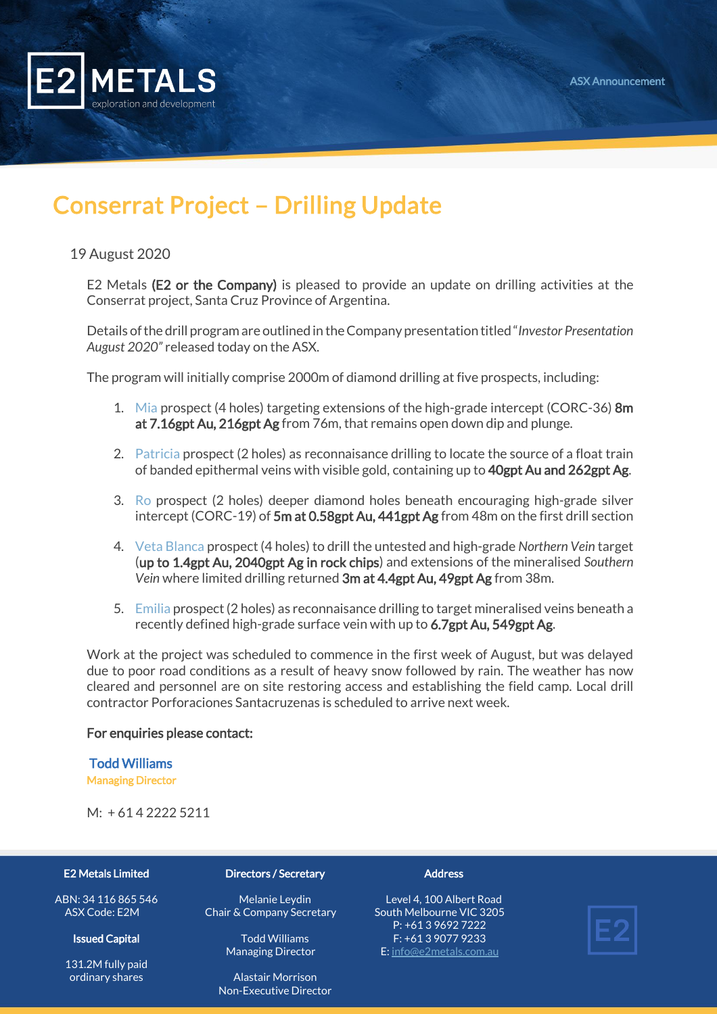

# Conserrat Project – Drilling Update

## 19 August 2020

E2 Metals (E2 or the Company) is pleased to provide an update on drilling activities at the Conserrat project, Santa Cruz Province of Argentina.

Details of the drill program are outlined in the Company presentation titled "*Investor Presentation August 2020"* released today on the ASX.

The program will initially comprise 2000m of diamond drilling at five prospects, including:

- 1. Mia prospect (4 holes) targeting extensions of the high-grade intercept (CORC-36) 8m at 7.16gpt Au, 216gpt Ag from 76m, that remains open down dip and plunge.
- 2. Patricia prospect (2 holes) as reconnaisance drilling to locate the source of a float train of banded epithermal veins with visible gold, containing up to 40gpt Au and 262gpt Ag.
- 3. Ro prospect (2 holes) deeper diamond holes beneath encouraging high-grade silver intercept (CORC-19) of 5m at 0.58gpt Au, 441gpt Ag from 48m on the first drill section
- 4. Veta Blanca prospect (4 holes) to drill the untested and high-grade *Northern Vein* target (up to 1.4gpt Au, 2040gpt Ag in rock chips) and extensions of the mineralised *Southern Vein* where limited drilling returned 3m at 4.4gpt Au, 49gpt Ag from 38m.
- 5. Emilia prospect (2 holes) as reconnaisance drilling to target mineralised veins beneath a recently defined high-grade surface vein with up to 6.7gpt Au, 549gpt Ag.

Work at the project was scheduled to commence in the first week of August, but was delayed due to poor road conditions as a result of heavy snow followed by rain. The weather has now cleared and personnel are on site restoring access and establishing the field camp. Local drill contractor Porforaciones Santacruzenas is scheduled to arrive next week.

## For enquiries please contact:

### Todd Williams

Managing Director

 $M: +614222255211$ 

#### E2 Metals Limited

ABN: 34 116 865 546 ASX Code: E2M

#### Issued Capital

131.2M fully paid ordinary shares

#### Directors / Secretary

Melanie Leydin Chair & Company Secretary

> Todd Williams Managing Director

Alastair Morrison Non-Executive Director

#### **Address**

Level 4, 100 Albert Road South Melbourne VIC 3205 P: +61 3 9692 7222 F: +61 3 9077 9233 E[: info@e2metals.com.au](mailto:info@e2metals.com.au)

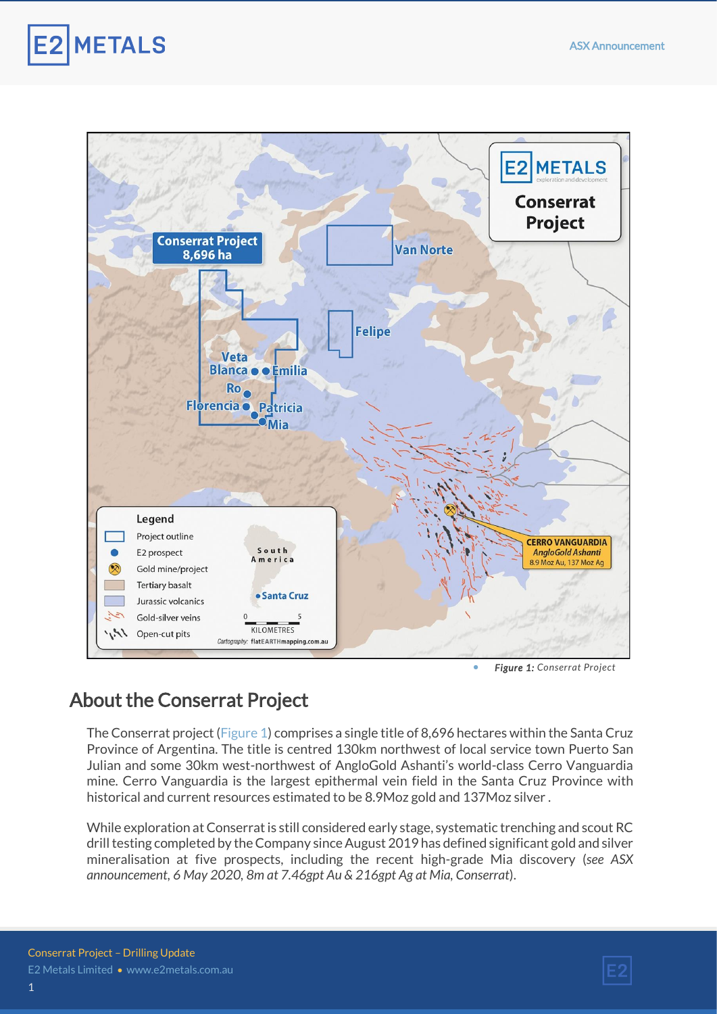



• *Figure 1: Conserrat Project*

# About the Conserrat Project

The Conserrat project (Figure 1) comprises a single title of 8,696 hectares within the Santa Cruz Province of Argentina. The title is centred 130km northwest of local service town Puerto San Julian and some 30km west-northwest of AngloGold Ashanti's world-class Cerro Vanguardia mine. Cerro Vanguardia is the largest epithermal vein field in the Santa Cruz Province with historical and current resources estimated to be 8.9Moz gold and 137Moz silver .

While exploration at Conserrat is still considered early stage, systematic trenching and scout RC drill testing completed by the Company since August 2019 has defined significant gold and silver mineralisation at five prospects, including the recent high-grade Mia discovery (*see ASX announcement, 6 May 2020, 8m at 7.46gpt Au & 216gpt Ag at Mia, Conserrat*).